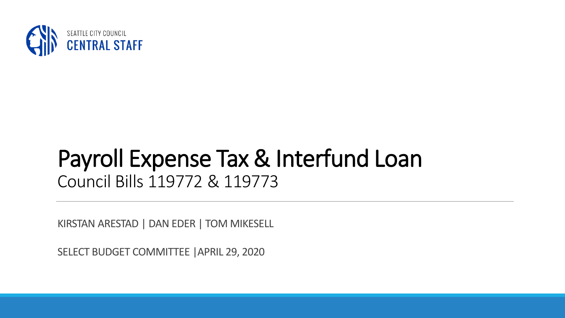

### Payroll Expense Tax & Interfund Loan Council Bills 119772 & 119773

KIRSTAN ARESTAD | DAN EDER | TOM MIKESELL

SELECT BUDGET COMMITTEE |APRIL 29, 2020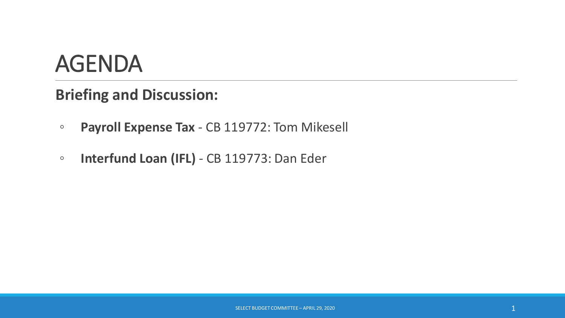### AGENDA

#### **Briefing and Discussion:**

- **Payroll Expense Tax**  CB 119772: Tom Mikesell
- **Interfund Loan (IFL)** CB 119773: Dan Eder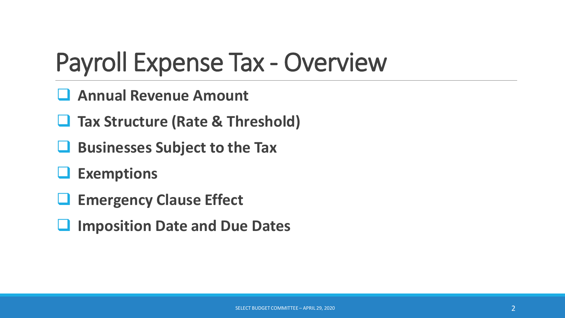### Payroll Expense Tax - Overview

- ❑ **Annual Revenue Amount**
- ❑ **Tax Structure (Rate & Threshold)**
- ❑ **Businesses Subject to the Tax**
- ❑ **Exemptions**
- ❑ **Emergency Clause Effect**
- ❑ **Imposition Date and Due Dates**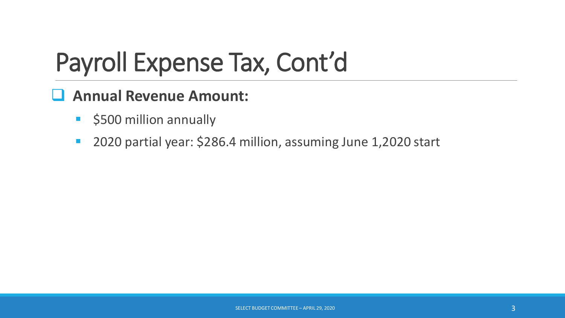#### ❑ **Annual Revenue Amount:**

- **•** \$500 million annually
- 2020 partial year: \$286.4 million, assuming June 1,2020 start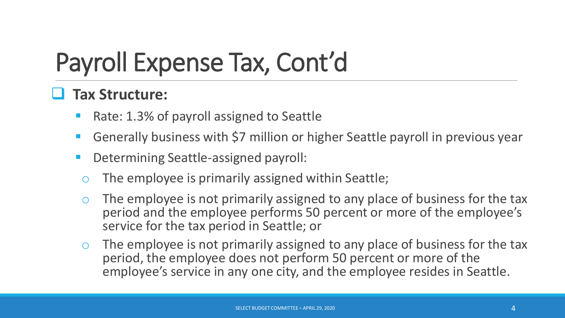#### ❑ **Tax Structure:**

- Rate: 1.3% of payroll assigned to Seattle
- Generally business with \$7 million or higher Seattle payroll in previous year
- Determining Seattle-assigned payroll:
	- The employee is primarily assigned within Seattle;
	- The employee is not primarily assigned to any place of business for the tax period and the employee performs 50 percent or more of the employee's service for the tax period in Seattle; or
- o The employee is not primarily assigned to any place of business for the tax period, the employee does not perform 50 percent or more of the employee's service in any one city, and the employee resides in Seattle.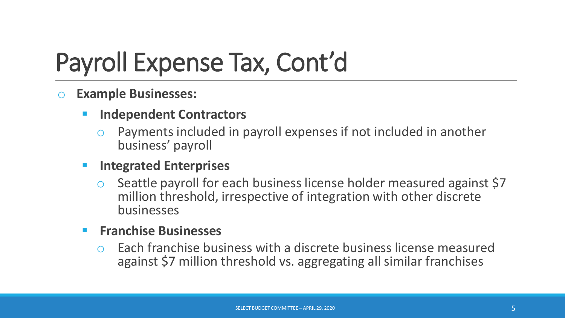#### o **Example Businesses:**

- **Independent Contractors** 
	- Payments included in payroll expenses if not included in another business' payroll

#### **Integrated Enterprises**

Seattle payroll for each business license holder measured against \$7 million threshold, irrespective of integration with other discrete businesses

#### ▪ **Franchise Businesses**

Each franchise business with a discrete business license measured against \$7 million threshold vs. aggregating all similar franchises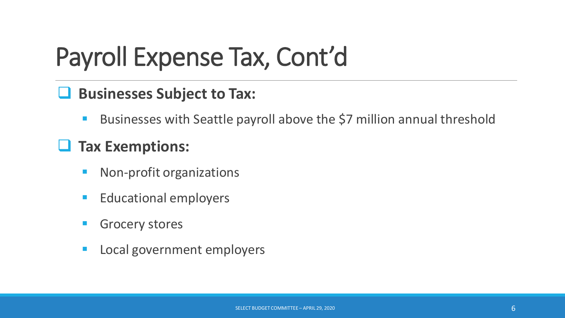#### ❑ **Businesses Subject to Tax:**

Businesses with Seattle payroll above the \$7 million annual threshold

#### ❑ **Tax Exemptions:**

- Non-profit organizations
- Educational employers
- **Grocery stores**
- Local government employers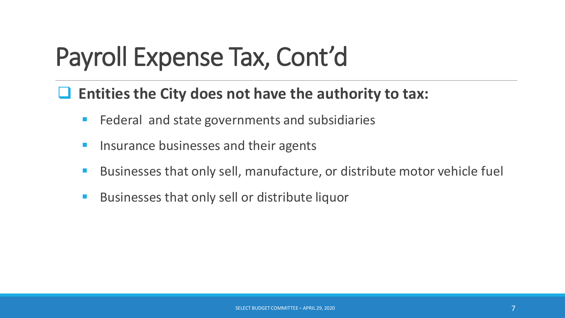#### ❑ **Entities the City does not have the authority to tax:**

- Federal and state governments and subsidiaries
- Insurance businesses and their agents
- Businesses that only sell, manufacture, or distribute motor vehicle fuel
- Businesses that only sell or distribute liquor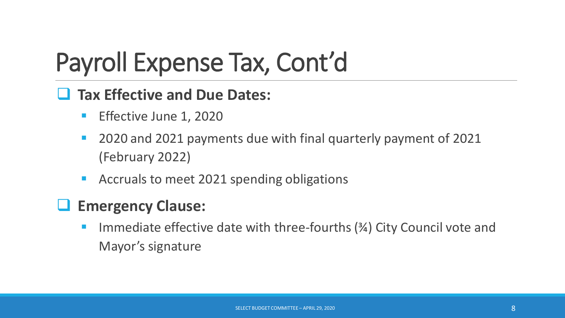#### ❑ **Tax Effective and Due Dates:**

- **E** Effective June 1, 2020
- 2020 and 2021 payments due with final quarterly payment of 2021 (February 2022)
- Accruals to meet 2021 spending obligations

#### ❑ **Emergency Clause:**

Immediate effective date with three-fourths  $(3/4)$  City Council vote and Mayor's signature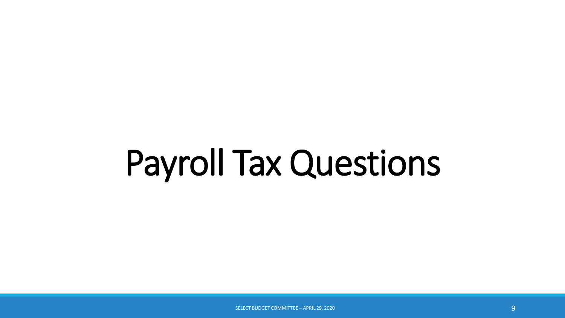# Payroll Tax Questions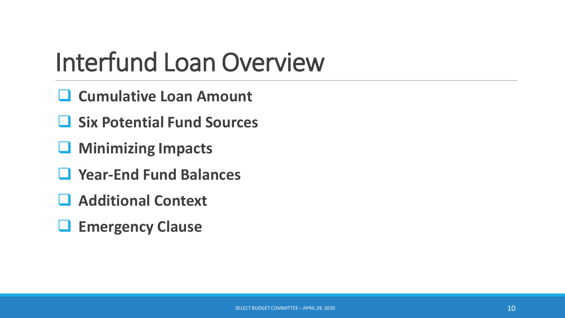### Interfund Loan Overview

- ❑ **Cumulative Loan Amount**
- ❑ **Six Potential Fund Sources**
- ❑ **Minimizing Impacts**
- ❑ **Year-End Fund Balances**
- ❑ **Additional Context**
- ❑ **Emergency Clause**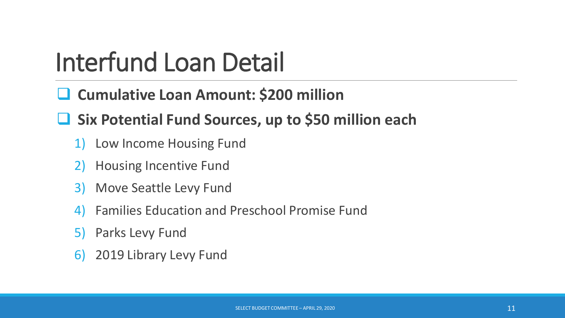### Interfund Loan Detail

- ❑ **Cumulative Loan Amount: \$200 million**
- ❑ **Six Potential Fund Sources, up to \$50 million each**
	- 1) Low Income Housing Fund
	- 2) Housing Incentive Fund
	- 3) Move Seattle Levy Fund
	- 4) Families Education and Preschool Promise Fund
	- 5) Parks Levy Fund
	- 6) 2019 Library Levy Fund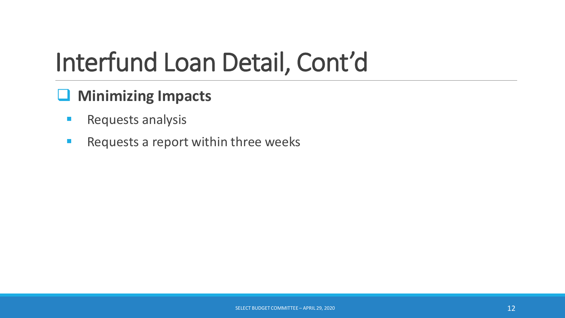#### ❑ **Minimizing Impacts**

- **Requests analysis**
- Requests a report within three weeks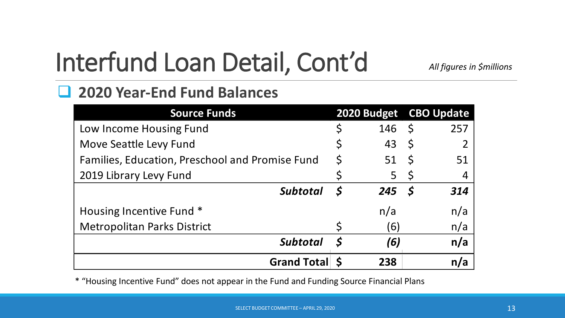*All figures in \$millions*

#### ❑ **2020 Year-End Fund Balances**

| <b>Source Funds</b>                             |              | 2020 Budget CBO Update |              |                |
|-------------------------------------------------|--------------|------------------------|--------------|----------------|
| Low Income Housing Fund                         | \$           | 146                    | $\zeta$      | 257            |
| Move Seattle Levy Fund                          | Ş            | 43                     | $\zeta$      |                |
| Families, Education, Preschool and Promise Fund | $\varsigma$  | 51                     | $\mathsf{S}$ | 51             |
| 2019 Library Levy Fund                          |              | 5                      | $\varsigma$  | $\overline{4}$ |
| <b>Subtotal</b>                                 | $\mathsf{S}$ | 245S                   |              | 314            |
| Housing Incentive Fund *                        |              | n/a                    |              | n/a            |
| <b>Metropolitan Parks District</b>              |              | $\left(6\right)$       |              | n/a            |
| <b>Subtotal</b>                                 | $\mathsf S$  | (6)                    |              | n/a            |
| <b>Grand Total</b>                              |              | 238                    |              | n/a            |

\* "Housing Incentive Fund" does not appear in the Fund and Funding Source Financial Plans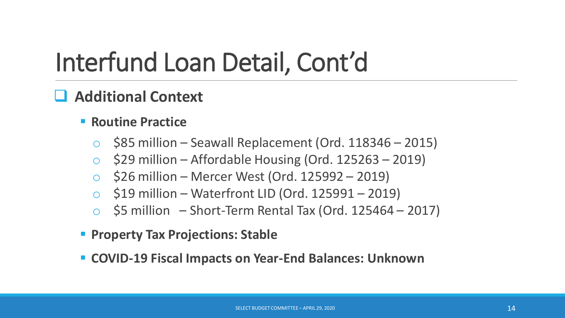#### ❑ **Additional Context**

#### ■ **Routine Practice**

- $\circ$  \$85 million Seawall Replacement (Ord. 118346 2015)
- $\circ$  \$29 million Affordable Housing (Ord. 125263 2019)
- $\circ$  \$26 million Mercer West (Ord. 125992 2019)
- $\circ$  \$19 million Waterfront LID (Ord. 125991 2019)
- $$5$  million Short-Term Rental Tax (Ord. 125464 2017)
- **Property Tax Projections: Stable**
- **COVID-19 Fiscal Impacts on Year-End Balances: Unknown**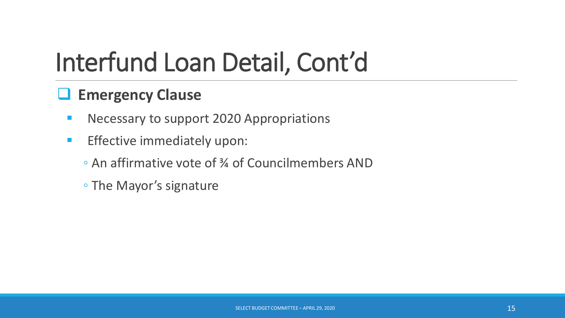#### ❑ **Emergency Clause**

- **E** Necessary to support 2020 Appropriations
- **Effective immediately upon:** 
	- An affirmative vote of ¾ of Councilmembers AND
	- The Mayor's signature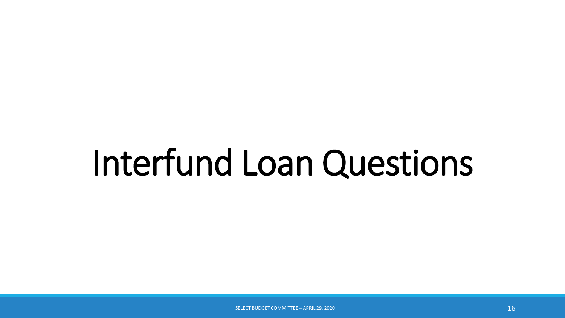## Interfund Loan Questions